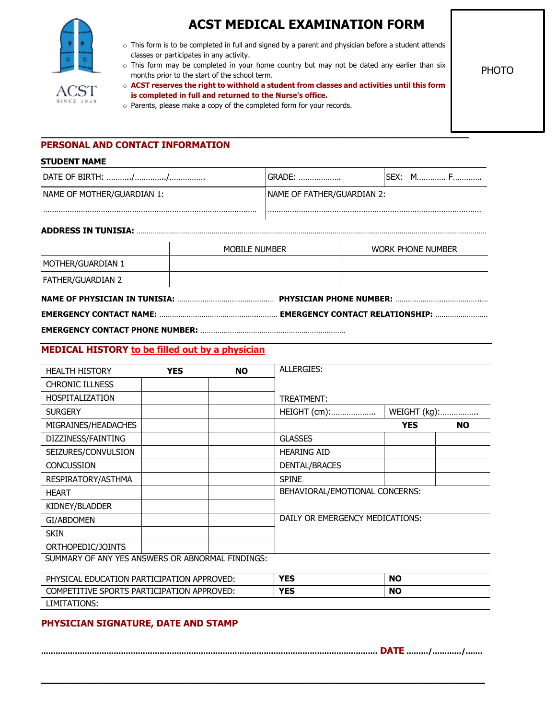

# **ACST MEDICAL EXAMINATION FORM**

PHOTO

o This form is to be completed in full and signed by a parent and physician before a student attends classes or participates in any activity.

o This form may be completed in your home country but may not be dated any earlier than six months prior to the start of the school term.

o **ACST reserves the right to withhold a student from classes and activities until this form is completed in full and returned to the Nurse's office.**

o Parents, please make a copy of the completed form for your records.

**\_\_\_\_\_\_\_\_\_\_\_\_\_\_\_\_\_\_\_\_\_\_\_\_\_\_\_\_\_\_\_\_\_\_\_\_\_\_\_\_\_\_\_\_\_\_\_\_\_\_\_\_\_\_\_\_\_\_\_\_\_\_\_\_\_\_\_\_\_\_\_\_\_\_**

# **PERSONAL AND CONTACT INFORMATION**

#### **STUDENT NAME**

|                            |               | GRADE:                      |  | SEX: MF                  |  |
|----------------------------|---------------|-----------------------------|--|--------------------------|--|
| NAME OF MOTHER/GUARDIAN 1: |               | INAME OF FATHER/GUARDIAN 2: |  |                          |  |
|                            |               |                             |  |                          |  |
|                            | MOBILE NUMBER |                             |  | <b>WORK PHONE NUMBER</b> |  |
| MOTHER/GUARDIAN 1          |               |                             |  |                          |  |
| FATHER/GUARDIAN 2          |               |                             |  |                          |  |
|                            |               |                             |  |                          |  |
|                            |               |                             |  |                          |  |

**EMERGENCY CONTACT PHONE NUMBER:** ……………………………………………………………

#### **MEDICAL HISTORY to be filled out by a physician**

| <b>HEALTH HISTORY</b>                            | <b>YES</b> | <b>NO</b> | ALLERGIES:                      |              |           |
|--------------------------------------------------|------------|-----------|---------------------------------|--------------|-----------|
| <b>CHRONIC ILLNESS</b>                           |            |           |                                 |              |           |
| <b>HOSPITALIZATION</b>                           |            |           | TREATMENT:                      |              |           |
| <b>SURGERY</b>                                   |            |           | HEIGHT (cm):                    | WEIGHT (kg): |           |
| MIGRAINES/HEADACHES                              |            |           |                                 | <b>YES</b>   | <b>NO</b> |
| DIZZINESS/FAINTING                               |            |           | <b>GLASSES</b>                  |              |           |
| SEIZURES/CONVULSION                              |            |           | <b>HEARING AID</b>              |              |           |
| <b>CONCUSSION</b>                                |            |           | DENTAL/BRACES                   |              |           |
| RESPIRATORY/ASTHMA                               |            |           | <b>SPINE</b>                    |              |           |
| <b>HEART</b>                                     |            |           | BEHAVIORAL/EMOTIONAL CONCERNS:  |              |           |
| KIDNEY/BLADDER                                   |            |           |                                 |              |           |
| GI/ABDOMEN                                       |            |           | DAILY OR EMERGENCY MEDICATIONS: |              |           |
| <b>SKIN</b>                                      |            |           |                                 |              |           |
| ORTHOPEDIC/JOINTS                                |            |           |                                 |              |           |
| CUMMADV OF ANY VEC ANCWEDC OD ADNODMAL EINDINCC. |            |           |                                 |              |           |

SUMMARY OF ANY YES ANSWERS OR ABNORMAL FINDINGS:

| . EDUCATION PARTICIPATION APPROVED:<br>PHYSICAL  | <b>YES</b> | <b>NO</b> |
|--------------------------------------------------|------------|-----------|
| COMPET.<br>TITIVE SPORTS PARTICIPATION APPROVED: | <b>YES</b> | <b>NO</b> |
| LIMITATIONS:                                     |            |           |

## **PHYSICIAN SIGNATURE, DATE AND STAMP**

**…………………………………………………………………………………………………………………………. DATE ………/…………/…….**

**\_\_\_\_\_\_\_\_\_\_\_\_\_\_\_\_\_\_\_\_\_\_\_\_\_\_\_\_\_\_\_\_\_\_\_\_\_\_\_\_\_\_\_\_\_\_\_\_\_\_\_\_\_\_\_\_\_\_\_\_\_\_\_\_**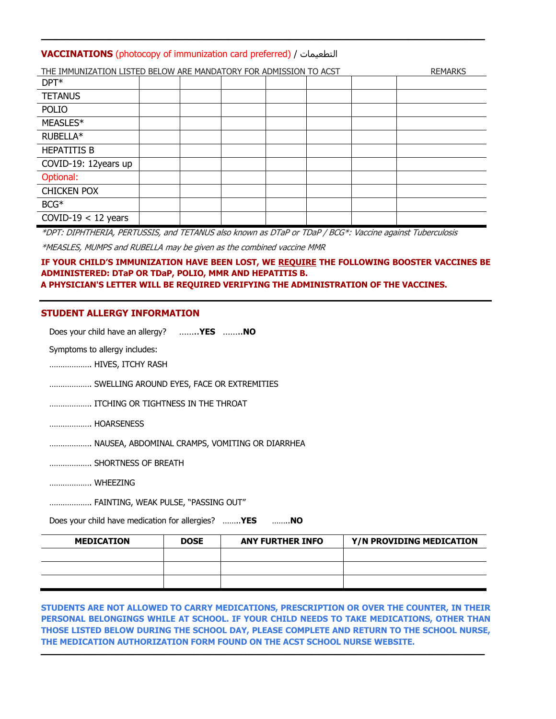## **VACCINATIONS** (photocopy of immunization card preferred) / تامیعطتلا

|                       | THE IMMUNIZATION LISTED BELOW ARE MANDATORY FOR ADMISSION TO ACST<br><b>REMARKS</b> |  |  |  |  |  |  |
|-----------------------|-------------------------------------------------------------------------------------|--|--|--|--|--|--|
| $DPT^*$               |                                                                                     |  |  |  |  |  |  |
| <b>TETANUS</b>        |                                                                                     |  |  |  |  |  |  |
| <b>POLIO</b>          |                                                                                     |  |  |  |  |  |  |
| MEASLES*              |                                                                                     |  |  |  |  |  |  |
| RUBELLA*              |                                                                                     |  |  |  |  |  |  |
| <b>HEPATITIS B</b>    |                                                                                     |  |  |  |  |  |  |
| COVID-19: 12years up  |                                                                                     |  |  |  |  |  |  |
| Optional:             |                                                                                     |  |  |  |  |  |  |
| <b>CHICKEN POX</b>    |                                                                                     |  |  |  |  |  |  |
| BCG*                  |                                                                                     |  |  |  |  |  |  |
| COVID-19 $<$ 12 years |                                                                                     |  |  |  |  |  |  |

**\_\_\_\_\_\_\_\_\_\_\_\_\_\_\_\_\_\_\_\_\_\_\_\_\_\_\_\_\_\_\_\_\_\_\_\_\_\_\_\_\_\_\_\_\_\_\_\_\_\_\_\_\_\_\_\_\_\_\_\_\_\_\_\_**

\*DPT: DIPHTHERIA, PERTUSSIS, and TETANUS also known as DTaP or TDaP / BCG\*: Vaccine against Tuberculosis

\*MEASLES, MUMPS and RUBELLA may be given as the combined vaccine MMR

#### **IF YOUR CHILD'S IMMUNIZATION HAVE BEEN LOST, WE REQUIRE THE FOLLOWING BOOSTER VACCINES BE ADMINISTERED: DTaP OR TDaP, POLIO, MMR AND HEPATITIS B. A PHYSICIAN'S LETTER WILL BE REQUIRED VERIFYING THE ADMINISTRATION OF THE VACCINES.**

#### **STUDENT ALLERGY INFORMATION**

Does your child have an allergy? ……..**YES** ……..**NO**

Symptoms to allergy includes:

………………. HIVES, ITCHY RASH

………………. SWELLING AROUND EYES, FACE OR EXTREMITIES

………………. ITCHING OR TIGHTNESS IN THE THROAT

………………. HOARSENESS

………………. NAUSEA, ABDOMINAL CRAMPS, VOMITING OR DIARRHEA

………………. SHORTNESS OF BREATH

………………. WHEEZING

………………. FAINTING, WEAK PULSE, "PASSING OUT"

Does your child have medication for allergies? ……..**YES** ……..**NO**

| <b>MEDICATION</b> | <b>DOSE</b> | <b>ANY FURTHER INFO</b> | Y/N PROVIDING MEDICATION |
|-------------------|-------------|-------------------------|--------------------------|
|                   |             |                         |                          |
|                   |             |                         |                          |
|                   |             |                         |                          |

**STUDENTS ARE NOT ALLOWED TO CARRY MEDICATIONS, PRESCRIPTION OR OVER THE COUNTER, IN THEIR PERSONAL BELONGINGS WHILE AT SCHOOL. IF YOUR CHILD NEEDS TO TAKE MEDICATIONS, OTHER THAN THOSE LISTED BELOW DURING THE SCHOOL DAY, PLEASE COMPLETE AND RETURN TO THE SCHOOL NURSE, THE MEDICATION AUTHORIZATION FORM FOUND ON THE ACST SCHOOL NURSE WEBSITE. \_\_\_\_\_\_\_\_\_\_\_\_\_\_\_\_\_\_\_\_\_\_\_\_\_\_\_\_\_\_\_\_\_\_\_\_\_\_\_\_\_\_\_\_\_\_\_\_\_\_\_\_\_\_\_\_\_\_\_\_\_\_\_\_**